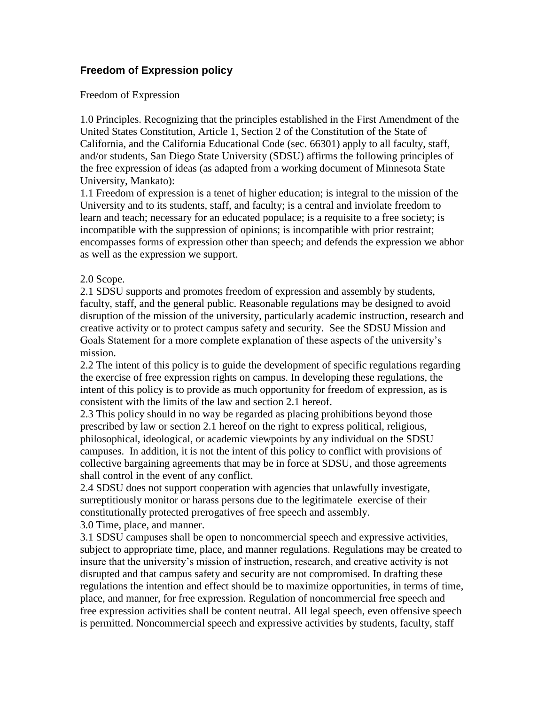## **Freedom of Expression policy**

Freedom of Expression

1.0 Principles. Recognizing that the principles established in the First Amendment of the United States Constitution, Article 1, Section 2 of the Constitution of the State of California, and the California Educational Code (sec. 66301) apply to all faculty, staff, and/or students, San Diego State University (SDSU) affirms the following principles of the free expression of ideas (as adapted from a working document of Minnesota State University, Mankato):

1.1 Freedom of expression is a tenet of higher education; is integral to the mission of the University and to its students, staff, and faculty; is a central and inviolate freedom to learn and teach; necessary for an educated populace; is a requisite to a free society; is incompatible with the suppression of opinions; is incompatible with prior restraint; encompasses forms of expression other than speech; and defends the expression we abhor as well as the expression we support.

2.0 Scope.

2.1 SDSU supports and promotes freedom of expression and assembly by students, faculty, staff, and the general public. Reasonable regulations may be designed to avoid disruption of the mission of the university, particularly academic instruction, research and creative activity or to protect campus safety and security. See the SDSU Mission and Goals Statement for a more complete explanation of these aspects of the university's mission.

2.2 The intent of this policy is to guide the development of specific regulations regarding the exercise of free expression rights on campus. In developing these regulations, the intent of this policy is to provide as much opportunity for freedom of expression, as is consistent with the limits of the law and section 2.1 hereof.

2.3 This policy should in no way be regarded as placing prohibitions beyond those prescribed by law or section 2.1 hereof on the right to express political, religious, philosophical, ideological, or academic viewpoints by any individual on the SDSU campuses. In addition, it is not the intent of this policy to conflict with provisions of collective bargaining agreements that may be in force at SDSU, and those agreements shall control in the event of any conflict.

2.4 SDSU does not support cooperation with agencies that unlawfully investigate, surreptitiously monitor or harass persons due to the legitimatele exercise of their constitutionally protected prerogatives of free speech and assembly. 3.0 Time, place, and manner.

3.1 SDSU campuses shall be open to noncommercial speech and expressive activities, subject to appropriate time, place, and manner regulations. Regulations may be created to insure that the university's mission of instruction, research, and creative activity is not disrupted and that campus safety and security are not compromised. In drafting these regulations the intention and effect should be to maximize opportunities, in terms of time, place, and manner, for free expression. Regulation of noncommercial free speech and free expression activities shall be content neutral. All legal speech, even offensive speech is permitted. Noncommercial speech and expressive activities by students, faculty, staff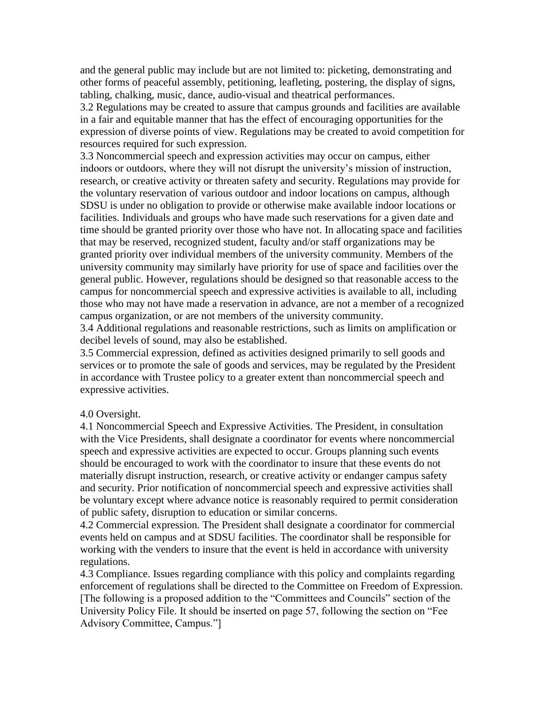and the general public may include but are not limited to: picketing, demonstrating and other forms of peaceful assembly, petitioning, leafleting, postering, the display of signs, tabling, chalking, music, dance, audio-visual and theatrical performances.

3.2 Regulations may be created to assure that campus grounds and facilities are available in a fair and equitable manner that has the effect of encouraging opportunities for the expression of diverse points of view. Regulations may be created to avoid competition for resources required for such expression.

3.3 Noncommercial speech and expression activities may occur on campus, either indoors or outdoors, where they will not disrupt the university's mission of instruction, research, or creative activity or threaten safety and security. Regulations may provide for the voluntary reservation of various outdoor and indoor locations on campus, although SDSU is under no obligation to provide or otherwise make available indoor locations or facilities. Individuals and groups who have made such reservations for a given date and time should be granted priority over those who have not. In allocating space and facilities that may be reserved, recognized student, faculty and/or staff organizations may be granted priority over individual members of the university community. Members of the university community may similarly have priority for use of space and facilities over the general public. However, regulations should be designed so that reasonable access to the campus for noncommercial speech and expressive activities is available to all, including those who may not have made a reservation in advance, are not a member of a recognized campus organization, or are not members of the university community.

3.4 Additional regulations and reasonable restrictions, such as limits on amplification or decibel levels of sound, may also be established.

3.5 Commercial expression, defined as activities designed primarily to sell goods and services or to promote the sale of goods and services, may be regulated by the President in accordance with Trustee policy to a greater extent than noncommercial speech and expressive activities.

## 4.0 Oversight.

4.1 Noncommercial Speech and Expressive Activities. The President, in consultation with the Vice Presidents, shall designate a coordinator for events where noncommercial speech and expressive activities are expected to occur. Groups planning such events should be encouraged to work with the coordinator to insure that these events do not materially disrupt instruction, research, or creative activity or endanger campus safety and security. Prior notification of noncommercial speech and expressive activities shall be voluntary except where advance notice is reasonably required to permit consideration of public safety, disruption to education or similar concerns.

4.2 Commercial expression. The President shall designate a coordinator for commercial events held on campus and at SDSU facilities. The coordinator shall be responsible for working with the venders to insure that the event is held in accordance with university regulations.

4.3 Compliance. Issues regarding compliance with this policy and complaints regarding enforcement of regulations shall be directed to the Committee on Freedom of Expression. [The following is a proposed addition to the "Committees and Councils" section of the University Policy File. It should be inserted on page 57, following the section on "Fee Advisory Committee, Campus."]